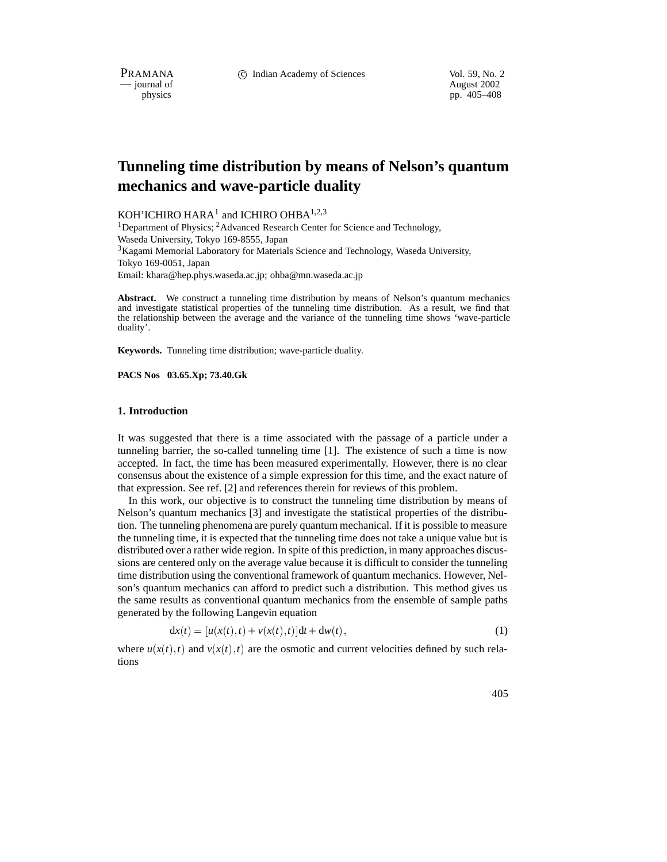PRAMANA 
<sup>c</sup> Indian Academy of Sciences 
<sup>Vol. 59, No. 2<br>
— journal of August 2002</sup>

position of the contract of the contract of the contract of the contract of the contract of the contract of the contract of the contract of the contract of the contract of the contract of the contract of the contract of th pp. 405–408

# **Tunneling time distribution by means of Nelson's quantum mechanics and wave-particle duality**

KOH'ICHIRO HARA<sup>1</sup> and ICHIRO OHBA<sup>1,2,3</sup>

<sup>1</sup>Department of Physics; <sup>2</sup>Advanced Research Center for Science and Technology, Waseda University, Tokyo 169-8555, Japan

 $3$ Kagami Memorial Laboratory for Materials Science and Technology, Waseda University, Tokyo 169-0051, Japan

Email: khara@hep.phys.waseda.ac.jp; ohba@mn.waseda.ac.jp

Abstract. We construct a tunneling time distribution by means of Nelson's quantum mechanics and investigate statistical properties of the tunneling time distribution. As a result, we find that the relationship between the average and the variance of the tunneling time shows 'wave-particle duality'.

**Keywords.** Tunneling time distribution; wave-particle duality.

**PACS Nos 03.65.Xp; 73.40.Gk**

#### **1. Introduction**

It was suggested that there is a time associated with the passage of a particle under a tunneling barrier, the so-called tunneling time [1]. The existence of such a time is now accepted. In fact, the time has been measured experimentally. However, there is no clear consensus about the existence of a simple expression for this time, and the exact nature of that expression. See ref. [2] and references therein for reviews of this problem.

In this work, our objective is to construct the tunneling time distribution by means of Nelson's quantum mechanics [3] and investigate the statistical properties of the distribution. The tunneling phenomena are purely quantum mechanical. If it is possible to measure the tunneling time, it is expected that the tunneling time does not take a unique value but is distributed over a rather wide region. In spite of this prediction, in many approaches discussions are centered only on the average value because it is difficult to consider the tunneling time distribution using the conventional framework of quantum mechanics. However, Nelson's quantum mechanics can afford to predict such a distribution. This method gives us the same results as conventional quantum mechanics from the ensemble of sample paths generated by the following Langevin equation

$$
dx(t) = [u(x(t),t) + v(x(t),t)]dt + dw(t),
$$
\n(1)

where  $u(x(t),t)$  and  $v(x(t),t)$  are the osmotic and current velocities defined by such relations

405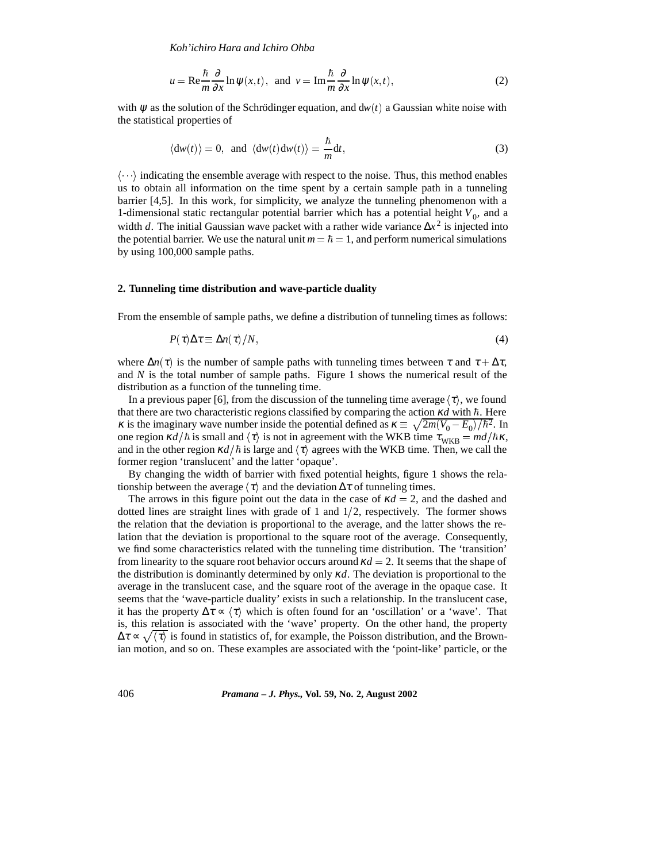*Koh'ichiro Hara and Ichiro Ohba*

$$
u = \text{Re}\frac{\hbar}{m}\frac{\partial}{\partial x}\ln \psi(x,t), \text{ and } v = \text{Im}\frac{\hbar}{m}\frac{\partial}{\partial x}\ln \psi(x,t), \tag{2}
$$

with  $\psi$  as the solution of the Schrödinger equation, and  $dw(t)$  a Gaussian white noise with the statistical properties of

$$
\langle \mathrm{d}w(t) \rangle = 0, \text{ and } \langle \mathrm{d}w(t) \mathrm{d}w(t) \rangle = \frac{\hbar}{m} \mathrm{d}t,\tag{3}
$$

 $\langle \cdots \rangle$  indicating the ensemble average with respect to the noise. Thus, this method enables us to obtain all information on the time spent by a certain sample path in a tunneling barrier [4,5]. In this work, for simplicity, we analyze the tunneling phenomenon with a 1-dimensional static rectangular potential barrier which has a potential height  $V_0$ , and a width *d*. The initial Gaussian wave packet with a rather wide variance  $\Delta x^2$  is injected into the potential barrier. We use the natural unit  $m = \hbar = 1$ , and perform numerical simulations by using 100,000 sample paths.

#### **2. Tunneling time distribution and wave-particle duality**

From the ensemble of sample paths, we define a distribution of tunneling times as follows:

$$
P(\tau)\Delta \tau \equiv \Delta n(\tau)/N,\tag{4}
$$

where  $\Delta n(\tau)$  is the number of sample paths with tunneling times between  $\tau$  and  $\tau + \Delta \tau$ , and *N* is the total number of sample paths. Figure 1 shows the numerical result of the distribution as a function of the tunneling time.

In a previous paper [6], from the discussion of the tunneling time average  $\langle \tau \rangle$ , we found that there are two characteristic regions classified by comparing the action  $\kappa d$  with  $\hbar$ . Here *κ* is the imaginary wave number inside the potential defined as  $\kappa \equiv \sqrt{2m(V_0 - E_0)/\hbar^2}$ . In one region  $\kappa d/\hbar$  is small and  $\langle \tau \rangle$  is not in agreement with the WKB time  $\tau_{WKB} = \frac{md}{\hbar \kappa}$ , and in the other region  $\kappa d/\hbar$  is large and  $\langle \tau \rangle$  agrees with the WKB time. Then, we call the former region 'translucent' and the latter 'opaque'.

By changing the width of barrier with fixed potential heights, figure 1 shows the relationship between the average  $\langle \tau \rangle$  and the deviation  $\Delta \tau$  of tunneling times.

The arrows in this figure point out the data in the case of  $\kappa d = 2$ , and the dashed and dotted lines are straight lines with grade of 1 and  $1/2$ , respectively. The former shows the relation that the deviation is proportional to the average, and the latter shows the relation that the deviation is proportional to the square root of the average. Consequently, we find some characteristics related with the tunneling time distribution. The 'transition' from linearity to the square root behavior occurs around  $\kappa d = 2$ . It seems that the shape of the distribution is dominantly determined by only <sup>κ</sup>*d*. The deviation is proportional to the average in the translucent case, and the square root of the average in the opaque case. It seems that the 'wave-particle duality' exists in such a relationship. In the translucent case, it has the property  $\Delta \tau \propto \langle \tau \rangle$  which is often found for an 'oscillation' or a 'wave'. That is, this relation is associated with the 'wave' property. On the other hand, the property  $\Delta \tau \propto \sqrt{\langle \tau \rangle}$  is found in statistics of, for example, the Poisson distribution, and the Brownian motion, and so on. These examples are associated with the 'point-like' particle, or the

406 *Pramana – J. Phys.,* **Vol. 59, No. 2, August 2002**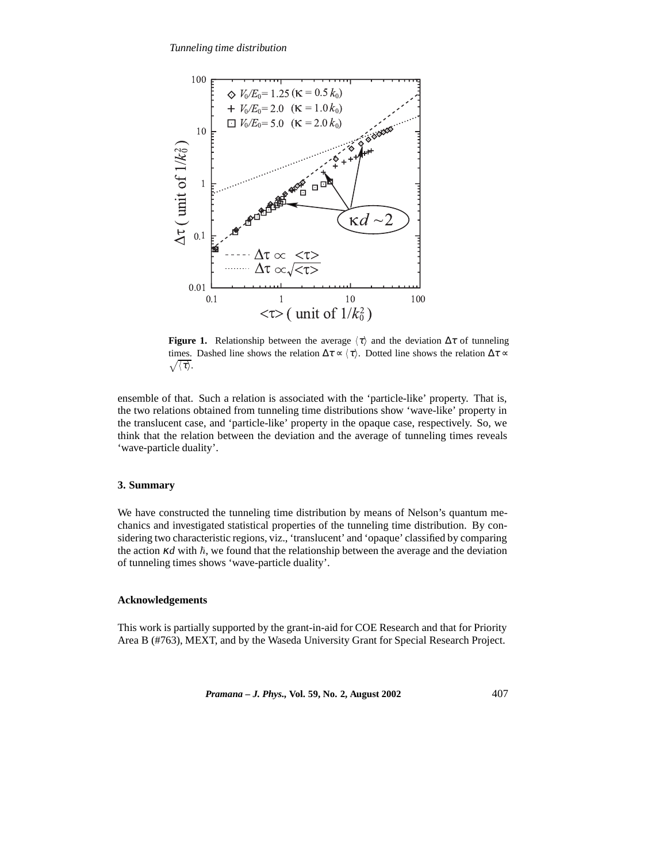

**Figure 1.** Relationship between the average  $\langle \tau \rangle$  and the deviation  $\Delta \tau$  of tunneling  $\sqrt{\langle \tau \rangle}.$ times. Dashed line shows the relation  $\Delta \tau \propto \langle \tau \rangle$ . Dotted line shows the relation  $\Delta \tau \propto \tau$ 

ensemble of that. Such a relation is associated with the 'particle-like' property. That is, the two relations obtained from tunneling time distributions show 'wave-like' property in the translucent case, and 'particle-like' property in the opaque case, respectively. So, we think that the relation between the deviation and the average of tunneling times reveals 'wave-particle duality'.

## **3. Summary**

We have constructed the tunneling time distribution by means of Nelson's quantum mechanics and investigated statistical properties of the tunneling time distribution. By considering two characteristic regions, viz., 'translucent' and 'opaque' classified by comparing the action  $\kappa d$  with  $\hbar$ , we found that the relationship between the average and the deviation of tunneling times shows 'wave-particle duality'.

### **Acknowledgements**

This work is partially supported by the grant-in-aid for COE Research and that for Priority Area B (#763), MEXT, and by the Waseda University Grant for Special Research Project.

*Pramana – J. Phys.,* **Vol. 59, No. 2, August 2002** 407